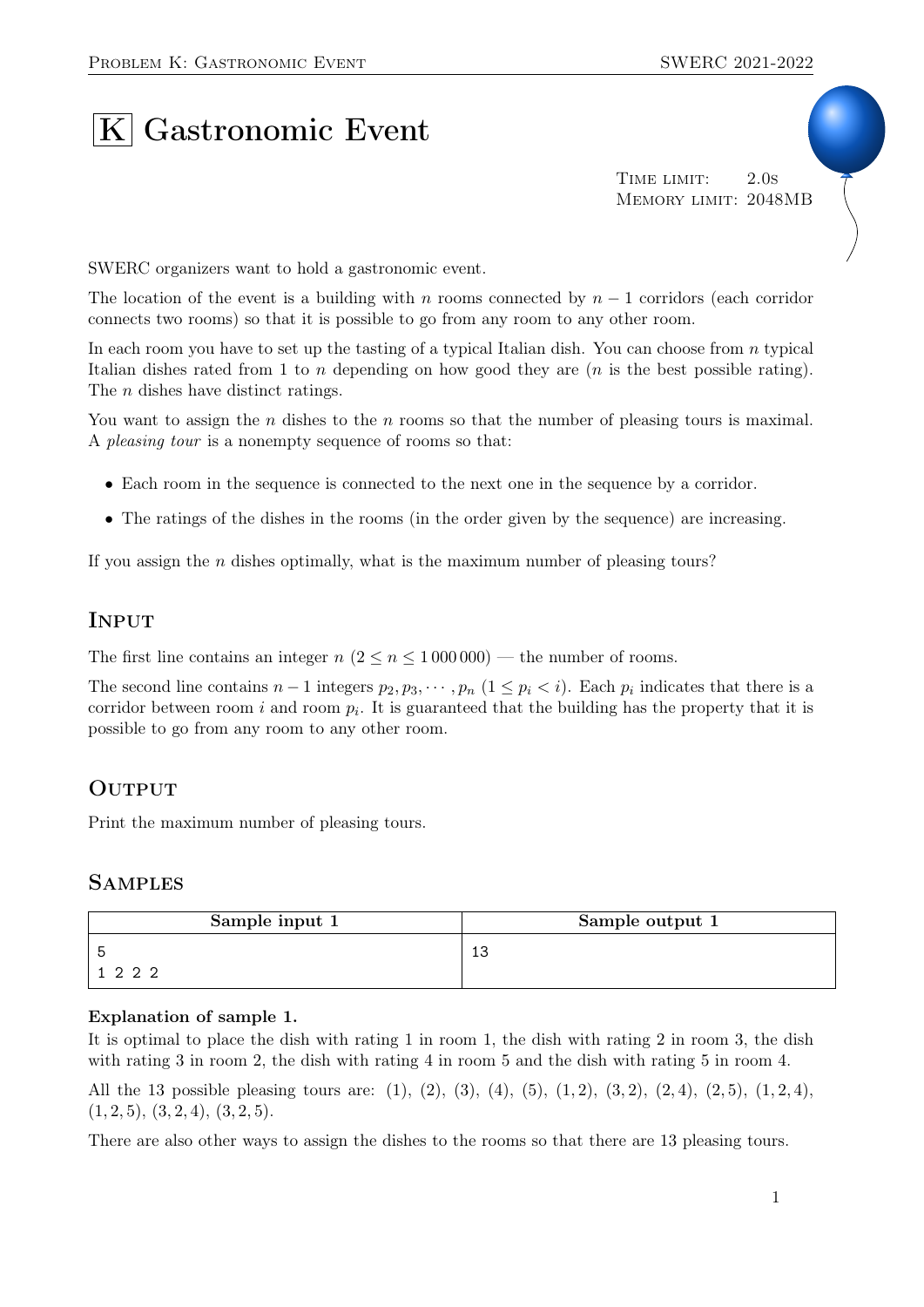# $|K|$  Gastronomic Event

TIME LIMIT: 2.0s Memory limit: 2048MB

SWERC organizers want to hold a gastronomic event.

The location of the event is a building with n rooms connected by  $n-1$  corridors (each corridor connects two rooms) so that it is possible to go from any room to any other room.

In each room you have to set up the tasting of a typical Italian dish. You can choose from  $n$  typical Italian dishes rated from 1 to n depending on how good they are  $(n$  is the best possible rating). The *n* dishes have distinct ratings.

You want to assign the *n* dishes to the *n* rooms so that the number of pleasing tours is maximal. A pleasing tour is a nonempty sequence of rooms so that:

- Each room in the sequence is connected to the next one in the sequence by a corridor.
- The ratings of the dishes in the rooms (in the order given by the sequence) are increasing.

If you assign the  $n$  dishes optimally, what is the maximum number of pleasing tours?

## **INPUT**

The first line contains an integer  $n (2 \le n \le 1000000)$  — the number of rooms.

The second line contains  $n-1$  integers  $p_2, p_3, \cdots, p_n$   $(1 \leq p_i < i)$ . Each  $p_i$  indicates that there is a corridor between room i and room  $p_i$ . It is guaranteed that the building has the property that it is possible to go from any room to any other room.

## **OUTPUT**

Print the maximum number of pleasing tours.

### **SAMPLES**

| Sample input 1 | Sample output 1 |
|----------------|-----------------|
|                | 1 2<br>ᅩ        |
| 1222           |                 |

#### Explanation of sample 1.

It is optimal to place the dish with rating 1 in room 1, the dish with rating 2 in room 3, the dish with rating 3 in room 2, the dish with rating 4 in room 5 and the dish with rating 5 in room 4.

All the 13 possible pleasing tours are: (1), (2), (3), (4), (5), (1, 2), (3, 2), (2, 4), (2, 5), (1, 2, 4),  $(1, 2, 5), (3, 2, 4), (3, 2, 5).$ 

There are also other ways to assign the dishes to the rooms so that there are 13 pleasing tours.